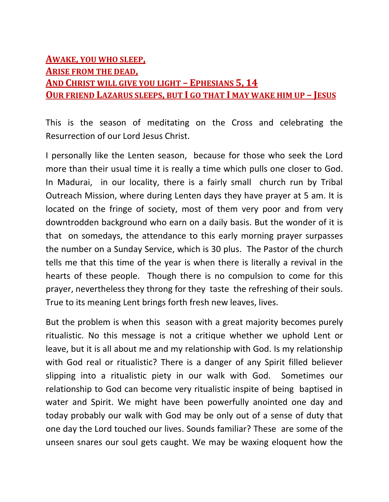## **AWAKE, YOU WHO SLEEP, ARISE FROM THE DEAD, AND CHRIST WILL GIVE YOU LIGHT – EPHESIANS 5, 14 OUR FRIEND LAZARUS SLEEPS, BUT I GO THAT I MAY WAKE HIM UP – JESUS**

This is the season of meditating on the Cross and celebrating the Resurrection of our Lord Jesus Christ.

I personally like the Lenten season, because for those who seek the Lord more than their usual time it is really a time which pulls one closer to God. In Madurai, in our locality, there is a fairly small church run by Tribal Outreach Mission, where during Lenten days they have prayer at 5 am. It is located on the fringe of society, most of them very poor and from very downtrodden background who earn on a daily basis. But the wonder of it is that on somedays, the attendance to this early morning prayer surpasses the number on a Sunday Service, which is 30 plus. The Pastor of the church tells me that this time of the year is when there is literally a revival in the hearts of these people. Though there is no compulsion to come for this prayer, nevertheless they throng for they taste the refreshing of their souls. True to its meaning Lent brings forth fresh new leaves, lives.

But the problem is when this season with a great majority becomes purely ritualistic. No this message is not a critique whether we uphold Lent or leave, but it is all about me and my relationship with God. Is my relationship with God real or ritualistic? There is a danger of any Spirit filled believer slipping into a ritualistic piety in our walk with God. Sometimes our relationship to God can become very ritualistic inspite of being baptised in water and Spirit. We might have been powerfully anointed one day and today probably our walk with God may be only out of a sense of duty that one day the Lord touched our lives. Sounds familiar? These are some of the unseen snares our soul gets caught. We may be waxing eloquent how the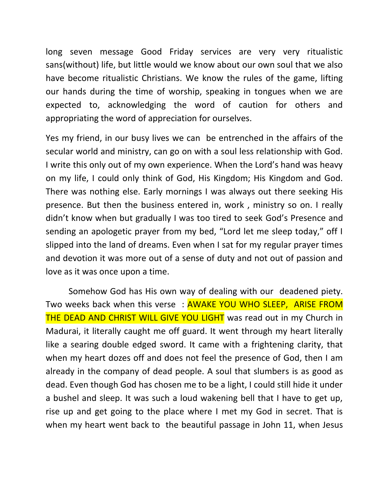long seven message Good Friday services are very very ritualistic sans(without) life, but little would we know about our own soul that we also have become ritualistic Christians. We know the rules of the game, lifting our hands during the time of worship, speaking in tongues when we are expected to, acknowledging the word of caution for others and appropriating the word of appreciation for ourselves.

Yes my friend, in our busy lives we can be entrenched in the affairs of the secular world and ministry, can go on with a soul less relationship with God. I write this only out of my own experience. When the Lord's hand was heavy on my life, I could only think of God, His Kingdom; His Kingdom and God. There was nothing else. Early mornings I was always out there seeking His presence. But then the business entered in, work , ministry so on. I really didn't know when but gradually I was too tired to seek God's Presence and sending an apologetic prayer from my bed, "Lord let me sleep today," off I slipped into the land of dreams. Even when I sat for my regular prayer times and devotion it was more out of a sense of duty and not out of passion and love as it was once upon a time.

Somehow God has His own way of dealing with our deadened piety. Two weeks back when this verse : AWAKE YOU WHO SLEEP, ARISE FROM THE DEAD AND CHRIST WILL GIVE YOU LIGHT was read out in my Church in Madurai, it literally caught me off guard. It went through my heart literally like a searing double edged sword. It came with a frightening clarity, that when my heart dozes off and does not feel the presence of God, then I am already in the company of dead people. A soul that slumbers is as good as dead. Even though God has chosen me to be a light, I could still hide it under a bushel and sleep. It was such a loud wakening bell that I have to get up, rise up and get going to the place where I met my God in secret. That is when my heart went back to the beautiful passage in John 11, when Jesus